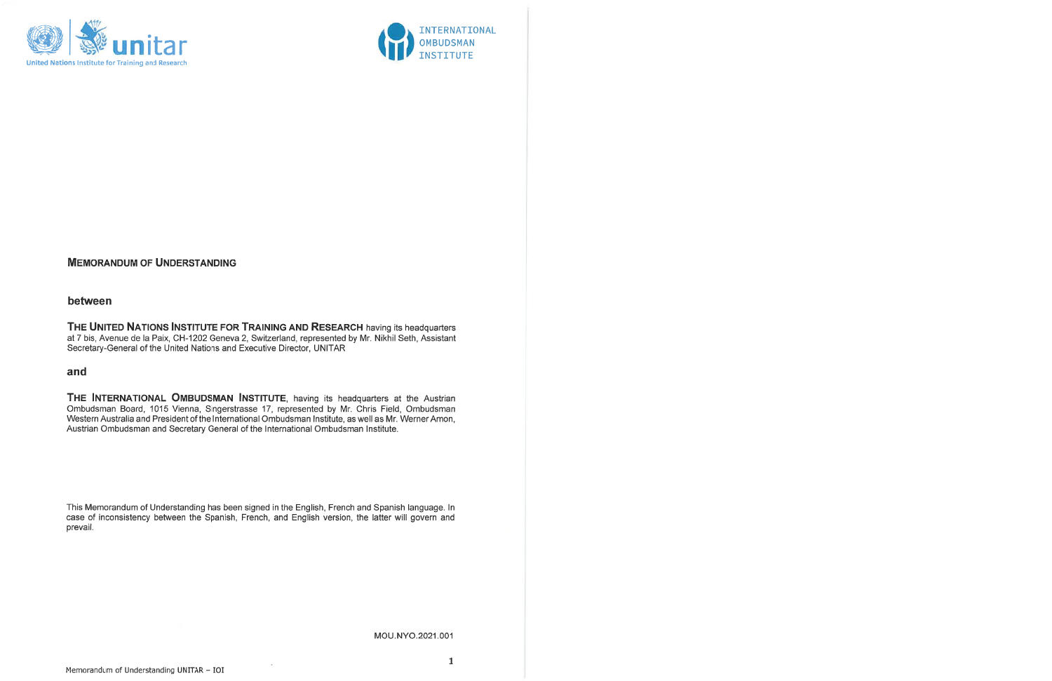



# MEMORANDUM OF UNDERSTANDING

## between

THE UNITED NATIONS INSTITUTE FOR TRAINING AND RESEARCH having its headquarters at 7 bis, Avenue de la Paix, CH-1202 Geneva 2, Switzerland, represented by Mr. Nikhil Seth, Assistant Secretary-General of the United Nations and Executive Director, UNITAR

## and

THE INTERNATIONAL OMBUDSMAN INSTITUTE, having its headquarters at the Austrian Ombudsman Board, 1015 Vienna, Singerstrasse 17, represented by Mr. Chris Field, Ombudsman Western Australia and President of the International Ombudsman Institute, as well as Mr. Werner Amon, Austrian Ombudsman and Secretary General ofthe International Ombudsman Institute.

This Memorandum of Understanding has been signed in the English, French and Spanish language. In case of inconsistency between the Spanish, French, and English Version, the latter will govern and prevail.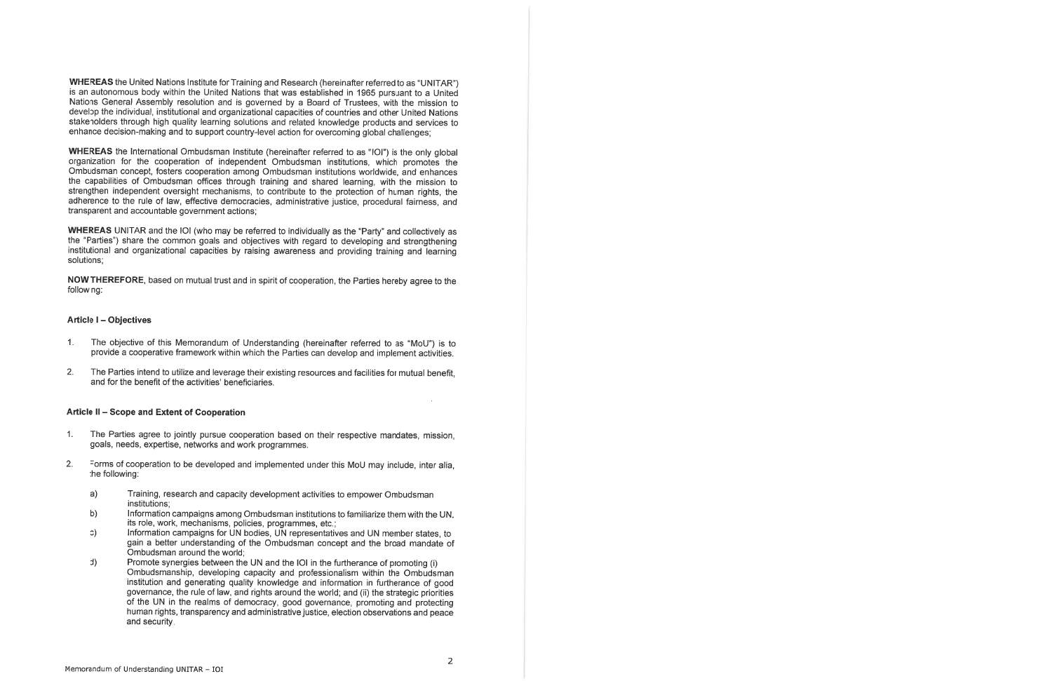WHEREAS the United Nations Institute for Training and Research (hereinafter referred to äs "UNITAR") is an autonomous body within the United Nations that was established in 1965 pursuant to a United Nations General Assembly resolution and is governed by a Board of Trustees, with the mission to develop the individual, institutional and organizational capacities of countries and other United Nations stakeholders through high quality learning solutions and related knowledge products and services to enhance decision-making and to support country-level action for overcoming global challenges;

WHEREAS the International Ombudsman Institute (hereinafter referred to as "IOI") is the only global organization for the cooperation of independent Ombudsman institutions, which promotes the Ombudsman concept, fosters cooperation among Ombudsman institutions worldwide, and enhances the capabilities of Ombudsman Offices through training and shared learning, with the mission to strengthen independent oversight mechanisms, to contribute to the protection of human rights, the adherence to the rule of law, effective democracies, administrative justice, procedural fairness, and transparent and accountable government actions;

WHEREAS UNITAR and the IOI (who may be referred to individually as the "Party" and collectively as the "Parties") share the common goals and objectives with regard to developing and strengthening institutional and organizational capacities by raising awareness and providing training and learning solutions;

NOW THEREFORE, based on mutual trust and in spirit of cooperation, the Parties hereby agree to the following:

#### Article I - Objectives

- 1. The objective of this Memorandum of Understanding (hereinafter referred to äs "MoU") is to provide a cooperative framework within which the Parties can develop and implement activities.
- 2. The Parties intend to utilize and leverage their existing resources and facilities for mutual benefit, and for the benefit of the activities' beneficiaries.

#### Article II - Scope and Extent of Cooperation

- 1. The Parties agree to jointly pursue cooperation based on their respective mandates, mission, goals, needs, expertise, networks and work programmes.
- 2. Forms of cooperation to be developed and implemented under this MoU may include, inter alia, the following:
	- a) Training, research and capacity development activities to empower Ombudsman institutions;
	- b) Information campaigns among Ombudsman institutions to familiarize them with the UN, its role, work, mechanisms, policies, programmes, etc.;
	- c) Information campaigns for UN bodies, UN representatives and UN member states, to gain a better understanding of the Ombudsman concept and the broad mandate of Ombudsman around the world;
	- d) Promote synergies between the UN and the 101 in the furtherance of promoting (i) Ombudsmanship, developing capacity and professionalism within the Ombudsman institution and generating quality knowledge and information in furtherance of good governance, the rule of law, and rights around the world; and (ii) the Strategie priorities of the UN in the realms of democracy, good governance, promoting and protecting human rights, transparency and administrative justice, election observations and peace and security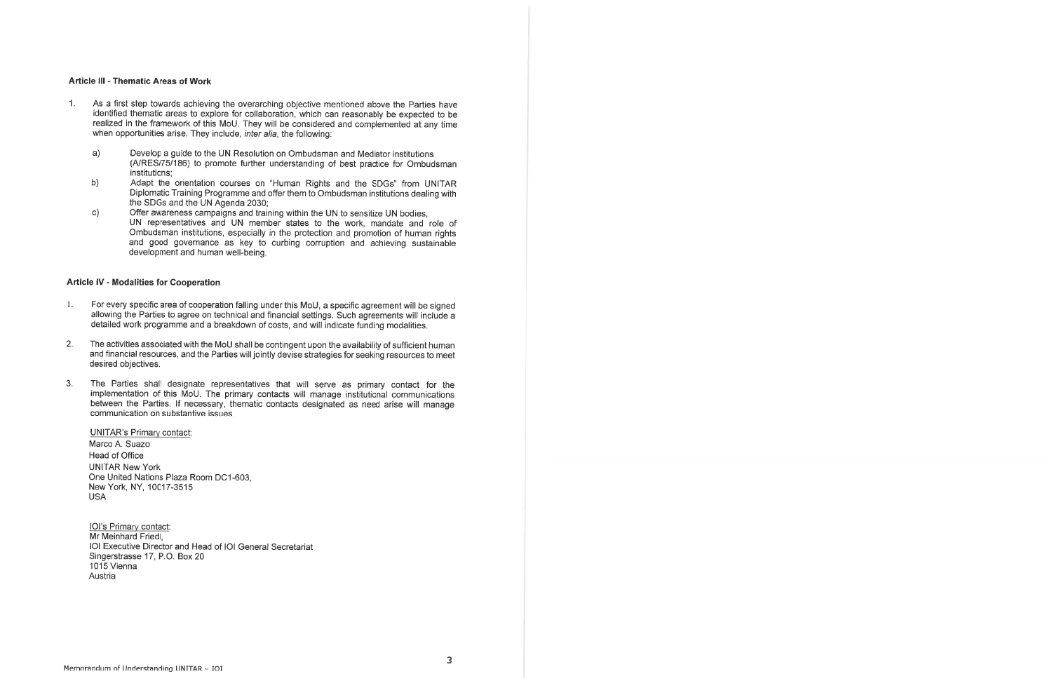### Article III - Thematic Areas of Work

- 1. As a first step towards achieving the overarching objective mentioned above the Parties have identified thematic areas to explore for collaboration, which can reasonably be expected to be realized in the framework of this MoU. They will be considered and complemented at any time when opportunities arise. They include, *inter alia*, the following:
	- a) Develop a guide to the UN Resolution on Ombudsman and Mediator institutions (A/RES/75/186) to promote further understanding of best practice for Ombudsman institutions;
	- b) Adapt the orientation courses on "Human Rights and the SDGs" from UNITAR Diplomatie Training Programme and offerthem to Ombudsman institutions dealing with the SDGs and the UN Agenda 2030;
	- c) Offer awareness campaigns and training within the UN to sensitize UN bodies, UN representatives and UN member states to the work, mandate and role of Ombudsman institutions, especially in the protection and promotion of human rights and good governance as key to curbing corruption and achieving sustainable development and human well-being.

### Article IV - Modalities for Cooperation

- 1. For every specific area of cooperation falling under this MoU, a specific agreement will be signed allowing the Parties to agree on technical and financial settings. Such agreements will include a detailed work programme and a breakdown of costs, and will indicate funding modalities.
- 2. The activities associated with the MoU shall be contingent upon the availability ofsufficient human and financial resources, and the Parties will jointly devise strategies for seeking resources to meet desired objectives.
- 3. The Parties shall designate representatives that will serve as primary contact for the implementation of this MoU. The primary contacts will manage institutional communications between the Parties. If necessary, thematic contacts designated as need arise will manage communication on Substantive issues.

UNITAR's Primary contact: Marco A. Suazo Head of Office UNITAR New York One United Nations Plaza Room DC1-603, New York, NY, 10017-3515 USA

IOI's Primary contact: Mr Meinhard Friedl, 101 Executive Director and Head of 101 General Secretariat Singerstrasse 17, P.O. Box 20 1015 Vienna Austria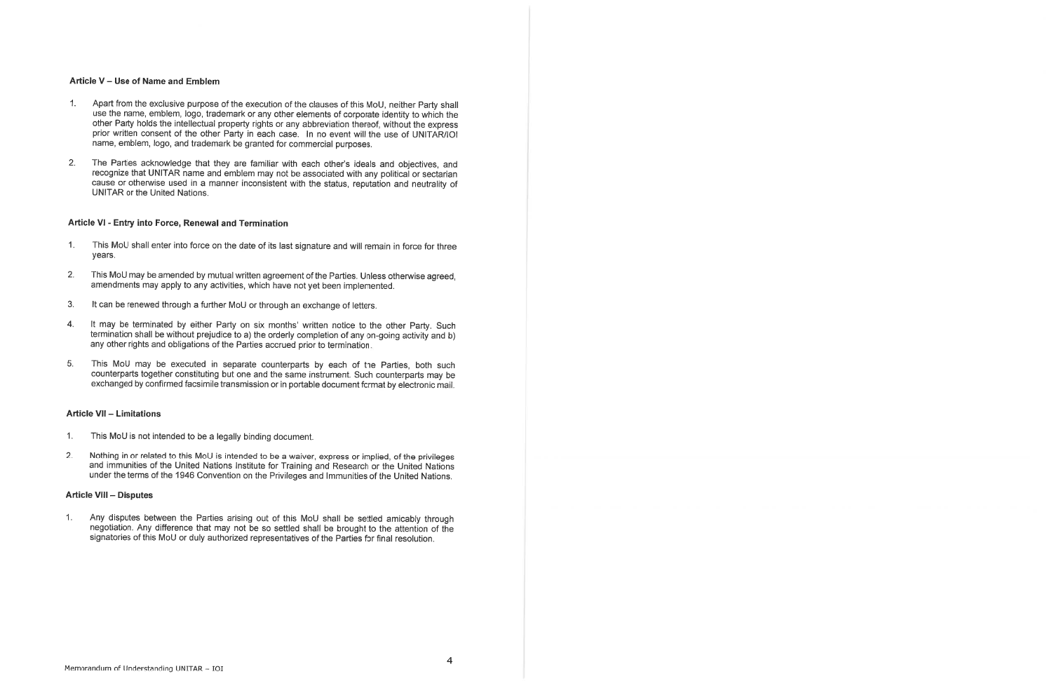### Article V - Use of Name and Emblem

- 1. Apart from the exclusive purpose of the execution of the clauses of this MoU, neither Party shall use the name, emblem, logo, trademark or any other elements of corporate identity to which the other Party holds the intellectual property rights or any abbreviation thereof, without the express prior written consent of the other Party in each case. In no event will the use of UNITAR/101 name, emblem, logo, and trademark be granted for commercial purposes.
- 2. The Parties acknowledge that they are familiar with each other's ideals and objectives, and recognize that UNITAR name and emblem may not be associated with any political or sectarian cause or otherwise used in a manner inconsistent with the status, reputation and neutrality of UNITAR orthe United Nations.

## Article VI - Entry into Force, Renewal and Termination

- 1. This MoU shall enter into force on the date of its last signature and will remain in force for three years.
- 2. This MoU may be amended by mutual written agreement ofthe Parties. Unless otherwise agreed, amendments may apply to any activities, which have not yet been implemented.
- 3. It can be renewed through a further MoU or through an exchange of letters.
- 4. It may be terminated by either Party on six months' written notice to the other Party. Such termination shall be without prejudice to a) the orderly completion ofany on-going activity and b) any other rights and obligations of the Parties accrued prior to termination.
- 5. This MoU may be executed in separate counterparts by each of the Parties, both such counterparts together constituting but one and the same instrument. Such counterparts may be exchanged by confirmed facsimile transmission or in portable document format by electronic mail.

### Article VII - Limitations

- 1. This MoU is not intended to be a legally binding document.
- 2. Nothing in or related to this MoU is intended to be a waiver, express or implied, of the privileges and immunities of the United Nations Institute for Training and Research or the United Nations under the terms of the 1946 Convention on the Privileges and Immunities of the United Nations.

#### Article VIII - Disputes

1. Any disputes between the Parties arising out of this MoU shall be settled amicably through negotiation. Any difference that may not be so settled shall be brought to the attention of the signatories of this MoU or duly authorized representatives of the Parties for final resolution.